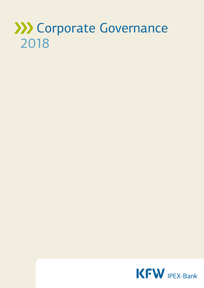# **XXX** Corporate Governance 2018

KFW IPEX-Bank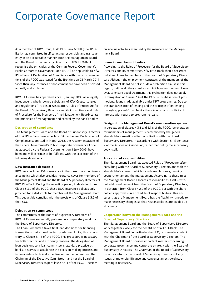# Corporate Governance Report

As a member of KfW Group, KfW IPEX-Bank GmbH (KfW IPEX-Bank) has committed itself to acting responsibly and transparently in an accountable manner. Both the Management Board and the Board of Supervisory Directors of KfW IPEX-Bank recognise the principles of the German Federal Government's Public Corporate Governance Code (PCGC) as applicable to KfW IPEX-Bank. A Declaration of Compliance with the recommendations of the PCGC was issued for the first time on 23 March 2011. Since then, any instances of non-compliance have been disclosed annually and explained.

KfW IPEX-Bank has operated since 1 January 2008 as a legally independent, wholly-owned subsidiary of KfW Group. Its rules and regulations (Articles of Association, Rules of Procedure for the Board of Supervisory Directors and its Committees, and Rules of Procedure for the Members of the Management Board) contain the principles of management and control by the bank's bodies.

#### **Declaration of compliance**

The Management Board and the Board of Supervisory Directors of KfW IPEX-Bank hereby declare: 'Since the last Declaration of Compliance submitted in March 2018, the recommendations of the Federal Government's Public Corporate Governance Code, as adopted by the Federal Government on 1 July 2009, have been and will continue to be fulfilled, with the exception of the following deviations.'

# **D&O insurance deductible**

KfW has concluded D&O insurance in the form of a group insurance policy which also provides insurance cover for members of the Management Board and the Board of Supervisory Directors of KfW IPEX-Bank. During the reporting period, in deviation from Clause 3.3.2 of the PCGC, these D&O insurance policies only provided for a deductible for members of the Management Board. This deductible complies with the provisions of Clause 3.3.2 of the PCGC.

#### **Delegation to committees**

The committees of the Board of Supervisory Directors of KfW IPEX-Bank essentially perform only preparatory work for the Board of Supervisory Directors.

The Loan Committee takes final loan decisions for financing transactions that exceed certain predefined limits; this is contrary to Clause 5.1.8 of the PCGC. This procedure is necessary for both practical and efficiency reasons. The delegation of loan decisions to a loan committee is standard practice at banks. It serves to accelerate the decision-making process and to consolidate technical expertise within the committee. The Chairman of the Executive Committee – and not the Board of Supervisory Directors as per Clause 4.4.4 of the PCGC – decides

on sideline activities exercised by the members of the Management Board.

# **Loans to members of bodies**

According to the Rules of Procedure for the Board of Supervisory Directors and its committees, KfW IPEX-Bank should not grant individual loans to members of the Board of Supervisory Directors. Although the employment contracts of the members of the Management Board do not include a prohibition clause in this regard, neither do they grant an explicit legal entitlement. However, to ensure equal treatment, this prohibition does not apply – in derogation of Clause 3.4 of the PCGC – to utilisation of promotional loans made available under KfW programmes. Due to the standardisation of lending and the principle of on-lending through applicants' own banks, there is no risk of conflicts of interest with regard to programme loans.

#### **Design of the Management Board's remuneration system**

In derogation of clauses 4.3.1 and 5.1.8 of the PCGC, remuneration for members of management is determined by the general shareholders' meeting after consultation with the Board of Supervisory Directors, in accordance with Section 5 (1) sentence 2 of the Articles of Association, rather than set by the supervisory body itself.

#### **Allocation of responsibilities**

The Management Board has adopted Rules of Procedure, after consulting with the Board of Supervisory Directors and with the shareholder's consent, which include regulations governing cooperation among the management. According to these rules the Management Board allocates responsibilities itself – without additional consent from the Board of Supervisory Directors, in deviation from Clause 4.2.2 of the PCGC, but with the shareholder's approval – in a schedule of responsibilities. This ensures that the Management Board has the flexibility it needs to make necessary changes so that responsibilities are divided up efficiently.

# **Cooperation between the Management Board and the Board of Supervisory Directors**

The Management Board and the Board of Supervisory Directors work together closely for the benefit of KfW IPEX-Bank. The Management Board, in particular the CEO, is in regular contact with the Chairman of the Board of Supervisory Directors. The Management Board discusses important matters concerning corporate governance and corporate strategy with the Board of Supervisory Directors. The Chairman of the Board of Supervisory Directors informs the Board of Supervisory Directors of any issues of major significance and convenes an extraordinary meeting if necessary.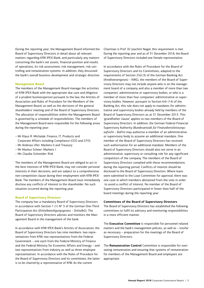During the reporting year, the Management Board informed the Board of Supervisory Directors in detail about all relevant matters regarding KfW IPEX-Bank, and particularly any matters concerning the bank's net assets, financial position and results of operations, its risk assessment, risk management, risk controlling and remuneration systems. In addition, they discussed the bank's overall business development and strategic direction.

#### **Management Board**

The members of the Management Board manage the activities of KfW IPEX-Bank with the appropriate due care and diligence of a prudent businessperson pursuant to the law, the Articles of Association and Rules of Procedure for the Members of the Management Board, as well as the decisions of the general shareholders' meeting and of the Board of Supervisory Directors. The allocation of responsibilities within the Management Board is governed by a schedule of responsibilities. The members of the Management Board were responsible for the following areas during the reporting year:

- Mr Klaus R. Michalak: Finance, IT, Products and Corporate Affairs including Compliance (CEO and CFO)
- Mr Andreas Ufer: Markets II and Treasury
- Mr Markus Scheer: Markets I
- Ms Claudia Schneider: Risk

The members of the Management Board are obliged to act in the best interests of KfW IPEX-Bank, may not consider personal interests in their decisions, and are subject to a comprehensive non-competition clause during their employment with KfW IPEX-Bank. The members of the Management Board must immediately disclose any conflicts of interest to the shareholder. No such situation occurred during the reporting year.

#### **Board of Supervisory Directors**

The company has a mandatory Board of Supervisory Directors in accordance with Section 1 (1)  $N^{\circ}$  3 of the German One-Third Participation Act (*Drittelbeteiligungsgesetz – DrittelbG*). The Board of Supervisory Directors advises and monitors the Management Board in the management of the bank.

In accordance with KfW IPEX-Bank's Articles of Association, the Board of Supervisory Directors has nine members: two representatives from KfW, two representatives from the Federal Government – one each from the Federal Ministry of Finance and the Federal Ministry for Economic Affairs and Energy – and two representatives from industry as well as three employee representatives. In accordance with the Rules of Procedure for the Board of Supervisory Directors and its committees, the latter is to be chaired by a representative of KfW. As the current

Chairman is Prof. Dr Joachim Nagel, this requirement is met. During the reporting year and as of 31 December 2018, the Board of Supervisory Directors included one female representative.

In accordance with the Rules of Procedure for the Board of Supervisory Directors and its Committees, adapted to the requirements of Section 25d (3) of the German Banking Act (*Kreditwesengesetz – KWG*), the members of the Board of Supervisory Directors may not include anyone who is on the management board of a company and also a member of more than two companies' administrative or supervisory bodies, or who is a member of more than four companies' administrative or supervisory bodies. However, pursuant to Section 64r (14) of the Banking Act, this rule does not apply to mandates for administrative and supervisory bodies already held by members of the Board of Supervisory Directors as at 31 December 2013. This 'grandfather clause' applies to two members of the Board of Supervisory Directors. In addition, the German Federal Financial Supervisory Authority (*Bundesanstalt für Finanzdienstleistungsaufsicht – BaFin*) may authorise a member of an administrative or supervisory body to assume an additional mandate. One member of the Board of Supervisory Directors has received such authorisation for an additional mandate. Members of the Board of Supervisory Directors should also not serve in an administrative, supervisory or consulting role for any significant competitors of the company. The members of the Board of Supervisory Directors complied with these recommendations during the reporting period. Conflicts of interest should be disclosed to the Board of Supervisory Directors. Where loans were submitted to the Loan Committee for approval, there was one case in which members abstained from the vote in order to avoid a conflict of interest. No member of the Board of Supervisory Directors participated in fewer than half of the board meetings during the reporting year.

#### **Committees of the Board of Supervisory Directors**

The Board of Supervisory Directors has established the following committees to fulfil its advisory and monitoring responsibilities in a more efficient manner.

The **Executive Committee** is responsible for personnel-related matters and the bank's management policies, as well as – insofar as necessary – preparation for the meetings of the Board of Supervisory Directors.

The **Remuneration Control** Committee is responsible for overseeing remuneration and ensuring that systems of remuneration for members of the Management Board and employees are appropriate.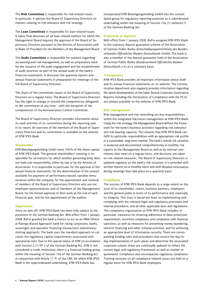The **Risk Committee** is responsible for risk-related issues. In particular, it advises the Board of Supervisory Directors on matters relating to risk tolerance and risk strategy.

The **Loan Committee** is responsible for loan-related issues. It takes final decisions on all loan-related matters for which the Management Board requires the approval of the Board of Supervisory Directors pursuant to the Articles of Association and/ or Rules of Procedure for the Members of the Management Board.

The **Audit Committee** is responsible for matters regarding accounting and risk management, as well as preparatory work for the issuance of the audit engagement and the establishment of audit priorities as part of the annual audit of the bank's financial statements. It discusses the quarterly reports and annual financial statements in preparation for meetings of the full Board of Supervisory Directors.

The chairs of the committees report to the Board of Supervisory Directors on a regular basis. The Board of Supervisory Directors has the right to change or rescind the competencies delegated to the committees at any time – with the exception of the competencies of the Remuneration Control Committee.

The Board of Supervisory Directors provides information about its work and that of its committees during the reporting year in its report. An overview of the members of the Board of Supervisory Directors and its committees is available on the website of KfW IPEX-Bank.

#### **Shareholder**

KfW-Beteiligungsholding GmbH owns 100% of the share capital of KfW IPEX-Bank. The general shareholders' meeting is responsible for all matters for which another governing body does not hold sole responsibility, either by law or by the Articles of Association. It is responsible in particular for the approval of the annual financial statements, for the determination of the amount available for payment of performance-based, variable remuneration within the company, for the appointment and removal of members of the Board of Supervisory Directors who are not employee representatives and of members of the Management Board, for the formal approval of their work at the end of each financial year, and for the appointment of the auditor.

#### **Supervision**

Since its spin-off, KfW IPEX-Bank has been fully subject to the provisions of the German Banking Act. With effect from 1 January 2008, BaFin granted the bank a licence to act as an IRBA (Internal Ratings-Based Approach) bank for rating corporates, banks, sovereigns and specialist financing transactions (elementary/ slotting approach). The bank uses the standard approach to calculate the regulatory capital requirements associated with operational risks. Due to the special status of KfW (in accordance with Section 2 (1)  $N^{\circ}$  2 of the German Banking Act. KfW is not considered a credit institution), there is a financial holding group within the meaning of Section 10a of the German Banking Act in conjunction with Article 11 ff. of the CRR, for which KfW IPEX-Bank is the superordinated undertaking. KfW IPEX-Bank has

incorporated KfW Beteiligungsholding GmbH into the consolidated group for regulatory reporting purposes as a subordinated undertaking within the meaning of Section 10a (1) sentence 3 of the German Banking Act.

#### **Protection of deposits**

With effect from 1 January 2008, BaFin assigned KfW IPEX-Bank to the statutory deposit guarantee scheme of the Association of German Public Banks (*Entschädigungseinrichtung des Bundesverbandes Öffentlicher Banken Deutschlands GmbH*). The bank is also a member of the deposit guarantee fund of the Association of German Public Banks (*Bundesverband Öffentlicher Banken Deutschlands e.V.*) on a voluntary basis.

#### **Transparency**

KfW IPEX-Bank provides all important information about itself and its annual financial statements on its website. The Communication department also regularly provides information regarding the latest developments at the bank. Annual Corporate Governance Reports including the Declaration of Compliance with the PCGC are always available on the website of KfW IPEX-Bank.

#### **Risk management**

Risk management and risk controlling are key responsibilities within the integrated risk/return management at KfW IPEX-Bank. Using the risk strategy, the Management Board defines the framework for the bank's business activities regarding risk tolerance and risk-bearing capacity. This ensures that KfW IPEX-Bank can fulfil its particular responsibilities with an appropriate risk profile in a sustainable, long-term manner. The bank's overall risk situation is analysed and documented comprehensively in monthly risk reports to the Management Board as well as by internal committees that meet on a regular basis, and decisions are taken on risk-related measures. The Board of Supervisory Directors is updated regularly on the bank's risk situation; it is provided with written reports on a monthly basis and with detailed information during meetings that take place on a quarterly basis.

#### **Compliance**

The success of KfW IPEX-Bank depends to a large extent on the trust of its shareholder, clients, business partners, employees and the general public in terms of its performance and, especially, its integrity. This trust is based not least on implementing and complying with the relevant legal and regulatory provisions and internal procedures, and all other applicable laws and regulations. The compliance organisation at KfW IPEX-Bank includes, in particular, measures for ensuring adherence to data protection requirements, securities compliance and compliance with financial sanctions, as well as measures for preventing money laundering, terrorist financing and other criminal activities, and for achieving an appropriate level of information security. There are corresponding binding rules and procedures that ensure the day-today implementation of such values and determine the associated corporate culture; these are continually updated to reflect the current legal and regulatory framework as well as market requirements. Compliance also encompasses regulatory compliance. Training sessions on all compliance-related issues are held on a regular basis for KfW IPEX-Bank employees.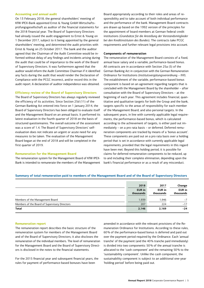#### **Accounting and annual audit**

On 13 February 2018, the general shareholders' meeting of KfW IPEX-Bank appointed Ernst & Young GmbH Wirtschaftsprüfungsgesellschaft as auditor of the financial statements for the 2018 financial year. The Board of Supervisory Directors had already issued the audit engagement to Ernst & Young on 1 December 2017, subject to it being appointed by the general shareholders' meeting, and determined the audit priorities with Ernst & Young on 25 October 2017. The bank and the auditor agreed that the Chairman of the Audit Committee would be informed without delay of any findings and incidents arising during the audit that could be of importance to the work of the Board of Supervisory Directors. It was furthermore agreed that the auditor would inform the Audit Committee Chairman if it identified any facts during the audit that would render the Declaration of Compliance with the PCGC incorrect, and/or record this in the audit report. A declaration of auditor independence was obtained.

#### **Efficiency review of the Board of Supervisory Directors**

The Board of Supervisory Directors has always regularly reviewed the efficiency of its activities. Since Section 25d (11) of the German Banking Act entered into force on 1 January 2014, the Board of Supervisory Directors has been obliged to evaluate itself and the Management Board on an annual basis. It performed its latest evaluation in the fourth quarter of 2018 on the basis of structured questionnaires. The overall outcome of the assessment was a score of 1.4. The Board of Supervisory Directors' selfevaluation does not indicate an urgent or acute need for any measures to be taken. The evaluation of the Management Board began at the end of 2018 and will be completed in the first quarter of 2019.

#### **Remuneration for the Management Board**

The remuneration system for the Management Board of KfW IPEX-Bank is intended to remunerate the members of the Management Board appropriately according to their roles and areas of responsibility and to take account of both individual performance and the performance of the bank. Management Board contracts are drawn up based on the 1992 version of the principles for the appointment of board members at German federal credit institutions (*Grundsätze für die Anstellung der Vorstandsmitglieder bei den Kreditinstituten des Bundes*). The contracts take PCGC requirements and further relevant legal provisions into account.

#### **Components of remuneration**

The remuneration of the Management Board consists of a fixed, annual base salary and a variable, performance-based bonus. All contracts are in accordance with Section 25a (5) of the German Banking Act in conjunction with the German Remuneration Ordinance for Institutions (*Institutsvergütungsverordnung – IVV*). The establishment of the variable, performance-based bonus component is based on an agreement regarding targets that is concluded with the Management Board by the shareholder – after consultation with the Board of Supervisory Directors – at the beginning of each year. This agreement includes financial, quantitative and qualitative targets for both the Group and the bank, targets specific to the areas of responsibility for each member of the Management Board, and also personal targets. In the subsequent years, in line with currently applicable legal requirements, the performance-based bonus, which is calculated according to the achievement of targets, is either paid out immediately – on a pro rata basis – or deferred. Deferred remuneration components are tracked by means of a 'bonus account'. These components are paid out on a pro rata basis over a holding period that is set in accordance with currently applicable legal requirements, provided that the legal requirements in this regard have been met. Beyond this holding period, it is possible for claims for deferred remuneration components to be reduced, up to and including their complete elimination, depending upon the bank's financial performance or as a result of any misconduct.

#### **Summary of total remuneration paid to members of the Management Board and of the Board of Supervisory Directors**

|                                               | 2018<br><b>EUR</b> in<br>thousands | 2017<br>EUR in<br>thousands | Change<br><b>EUR</b> in<br>thousands |
|-----------------------------------------------|------------------------------------|-----------------------------|--------------------------------------|
| Members of the Management Board               | 1,939                              | 1.946                       | $-7$                                 |
| Members of the Board of Supervisory Directors | 207                                | 224                         | $-17$                                |
| <b>Total</b>                                  | 2,146                              | 2,169                       | $-24$                                |

#### **Remuneration report**

The remuneration report describes the basic structure of the remuneration system for members of the Management Board and of the Board of Supervisory Directors; it also discloses the remuneration of the individual members. The level of remuneration for the Management Board and the Board of Supervisory Directors is disclosed in the notes to the financial statements.

For the 2015 financial year and subsequent financial years, the rules for payment of performance-based bonuses have been

amended in accordance with the relevant provisions of the Remuneration Ordinance for Institutions. According to these rules, 60% of the performance-based bonus is deferred and paid out over the payment period required by the Ordinance. Each 'annual tranche' of the payment (and the 40% tranche paid immediately) is divided into two components: 50% of the annual tranche is allocated to the 'cash component' and the remaining 50% to the 'sustainability component'. Unlike the cash component, the sustainability component is subject to an additional one-year 'holding period' before being paid out.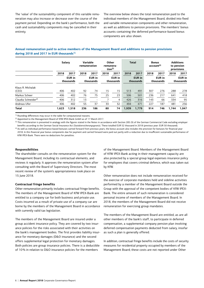The 'value' of the sustainability component of this variable remuneration may also increase or decrease over the course of the payment period. Depending on the bank's performance, both the cash and sustainability components may be cancelled in their entirety.

The overview below shows the total remuneration paid to the individual members of the Management Board, divided into fixed and variable remuneration components and other remuneration, as well as additions to pension provisions. The members' bonus accounts containing the deferred performance-based bonus components are also shown.

# **Annual remuneration paid to active members of the Management Board and additions to pension provisions during 2018 and 2017 in EUR thousands1)**

|                                 | Salary |                            | Variable<br>remuneration |                            | Other<br>remunera-<br>tion $3)$ |                            | <b>Total</b> |                            | <b>Bonus</b><br>account <sup>4)</sup> |                            | <b>Additions</b><br>to pension<br>provisions |                            |
|---------------------------------|--------|----------------------------|--------------------------|----------------------------|---------------------------------|----------------------------|--------------|----------------------------|---------------------------------------|----------------------------|----------------------------------------------|----------------------------|
|                                 | 2018   | 2017                       | 2018                     | 2017                       | 2018                            | 2017                       | 2018         | 2017                       | 2018                                  | 2017                       | 2018                                         | 2017                       |
|                                 |        | <b>EUR</b> in<br>thousands |                          | <b>EUR</b> in<br>thousands |                                 | <b>EUR</b> in<br>thousands |              | <b>EUR</b> in<br>thousands |                                       | <b>EUR</b> in<br>thousands |                                              | <b>EUR</b> in<br>thousands |
| Klaus R. Michalak<br>(CEO)      | 406    | 402                        | 92                       | 74                         | 15                              | 15                         | 513          | 491                        | 307                                   | 276                        | 288                                          | 278                        |
| Markus Scheer                   | 406    | 402                        | 76                       | 75                         | 25                              | 23                         | 506          | 501                        | 236                                   | 217                        | 641                                          | 418                        |
| Claudia Schneider <sup>2)</sup> | 406    | 312                        | 13                       |                            |                                 | 4                          | 426          | 316                        | 143                                   | 66                         | 334                                          | 95                         |
| Andreas Ufer                    | 406    | 402                        | 55                       | 37                         | 33                              | 32                         | 494          | 471                        | 227                                   | 187                        | 481                                          | 256                        |
| <b>Total</b>                    | 1,623  | 1,518                      | 236                      | 186                        | 80                              | 74                         | 1,939        | 1,779                      | 914                                   | 746                        | 1,744                                        | 1,047                      |

<sup>1)</sup> Rounding differences may occur in the table for computational reasons.

2) Appointed to the Management Board of KfW IPEX-Bank GmbH as of 17 March 2017.

<sup>3)</sup> This remuneration is presented in analogy with the figures stated in the Notes in accordance with Section 285 (9) of the German Commercial Code excluding employer benefits according to the German Social Insurance Act (*Sozialversicherungsgesetz*). These totalled EUR 52 thousand in 2018 (previous year: EUR 50 thousand).

4) As well as individual performance-based bonuses carried forward from previous years, the bonus account also includes the provision for bonuses for financial year 2018. In this financial year bonus components due for payment and carried forward were paid out partly with a reduction due to insufficient sustainable performance of KfW IPEX-Bank. There were no deductions for penalties.

# **Responsibilities**

The shareholder consults on the remuneration system for the Management Board, including its contractual elements, and reviews it regularly. It approves the remuneration system after consulting with the Board of Supervisory Directors. The most recent review of the system's appropriateness took place on 15 June 2018.

# **Contractual fringe benefits**

Other remuneration primarily includes contractual fringe benefits. The members of the Management Board of KfW IPEX-Bank are entitled to a company car for both business and private use. Costs incurred as a result of private use of a company car are borne by the members of the Management Board in accordance with currently valid tax legislation.

The members of the Management Board are insured under a group accident insurance policy. They are covered by two insurance policies for the risks associated with their activities on the bank's management bodies. The first provides liability insurance for monetary damages (D&O insurance) and the second offers supplemental legal protection for monetary damages. Both policies are group insurance policies. There is a deductible of 10% in relation to D&O insurance policies for the members

of the Management Board. Members of the Management Board of KfW IPEX-Bank acting in their management capacity are also protected by a special group legal expenses insurance policy for employees that covers criminal defence, which was taken out by KfW.

Other remuneration does not include remuneration received for the exercise of corporate mandates held and sideline activities performed by a member of the Management Board outside the Group with the approval of the competent bodies of KfW IPEX-Bank. The entire amount of such remuneration is considered personal income of members of the Management Board. In 2018, the members of the Management Board did not receive remuneration for exercising group mandates.

The members of the Management Board are entitled, as are all other members of the bank's staff, to participate in deferred compensation, a supplemental company pension plan involving deferred compensation payments deducted from salary, insofar as such a plan is generally offered.

In addition, contractual fringe benefits include the costs of security measures for residential property occupied by members of the Management Board; these costs are not reported under Other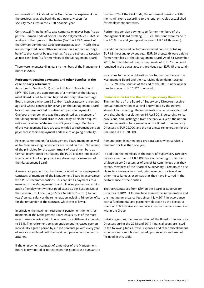remuneration but instead under Non-personnel expense. As in the previous year, the bank did not incur any costs for security measures in the 2018 financial year.

Contractual fringe benefits also comprise employer benefits as per the German Code of Social Law (*Sozialgesetzbuch – SGB*); in analogy to the figures in the Notes (Section 285 Clause 9 of the German Commercial Code [*Handelsgesetzbuch – HGB*]), these are not reported under Other remuneration. Contractual fringe benefits that cannot be granted tax-free are subject to taxation as non-cash benefits for members of the Management Board.

There were no outstanding loans to members of the Management Board in 2018.

# **Retirement pension payments and other benefits in the case of early retirement**

According to Section 5 (1) of the Articles of Association of KfW IPEX-Bank, the appointment of a member of the Management Board is not to extend beyond statutory retirement age. Board members who turn 65 and/or reach statutory retirement age and whose contract for serving on the Management Board has expired are entitled to retirement pension payments. One board member who was first appointed as a member of the Management Board prior to 2014 may, at his/her request, retire early when he/she reaches 63 years of age. Members of the Management Board are also entitled to retirement pension payments if their employment ends due to ongoing disability.

Pension commitments for Management Board members as well as for their surviving dependents are based on the 1992 version of the principles for the appointment of board members at German federal credit institutions. The PCGC is taken into account when contracts of employment are drawn up for members of the Management Board.

A severance payment cap has been included in the employment contracts of members of the Management Board in accordance with PCGC recommendations. This cap limits payments to a member of the Management Board following premature termination of employment without good cause as per Section 626 of the German Civil Code (*Bürgerliches Gesetzbuch – BGB*) to two years' annual salary or the remuneration including fringe benefits for the remainder of the contract, whichever is lower.

In principle, the maximum retirement pension entitlement for members of the Management Board equals 49% of the most recent gross salaries paid. In one case the entitlement amounts to 55%. The retirement pension entitlement increases over an individually agreed period by a fixed percentage with every year of service completed until the maximum pension entitlement is attained.

If the employment contract of a member of the Management Board is terminated or not extended for good cause pursuant to Section 626 of the Civil Code, the retirement pension entitlements will expire according to the legal principles established for employment contracts.

Retirement pension payments to former members of the Management Board totalling EUR 398 thousand were made in the 2018 financial year (previous year: EUR 174 thousand).

In addition, deferred performance-based bonuses totalling EUR 88 thousand (previous year: EUR 29 thousand) were paid to former members of the Management Board. As of 31 December 2018, further deferred bonus components of EUR 73 thousand remained in the bonus account (previous year: EUR 15 thousand).

Provisions for pension obligations for former members of the Management Board and their surviving dependents totalled EUR 12,785 thousand as of the end of the 2018 financial year (previous year: EUR 11,821 thousand).

# **Remuneration for the Board of Supervisory Directors**

The members of the Board of Supervisory Directors receive annual remuneration at a level determined by the general shareholders' meeting. The remuneration scheme was clarified by a shareholder resolution on 14 April 2018. According to its provisions, and unchanged from the previous year, the net annual remuneration for a member of the Board of Supervisory Directors is EUR 22,000, and the net annual remuneration for the Chairman is EUR 28,600.

Remuneration is earned on a pro rata basis when service is rendered for less than one year.

In addition, the members of the Board of Supervisory Directors receive a net fee of EUR 1,000 for each meeting of the Board of Supervisory Directors or of one of its committees that they attend. Members of the Board of Supervisory Directors can also claim, to a reasonable extent, reimbursement for travel and other miscellaneous expenses that they have incurred in the performance of their duties.

The representatives from KfW on the Board of Supervisory Directors of KfW IPEX-Bank have waived this remuneration and the meeting attendance fees since 1 July 2011 in accordance with a fundamental and permanent decision by the Executive Board of KfW to waive such remuneration for mandates exercised within the Group.

Details regarding the remuneration of the Board of Supervisory Directors during the 2018 and 2017 financial years are listed in the following tables; travel expenses and other miscellaneous expenses were reimbursed based upon receipts and are not included in this table.